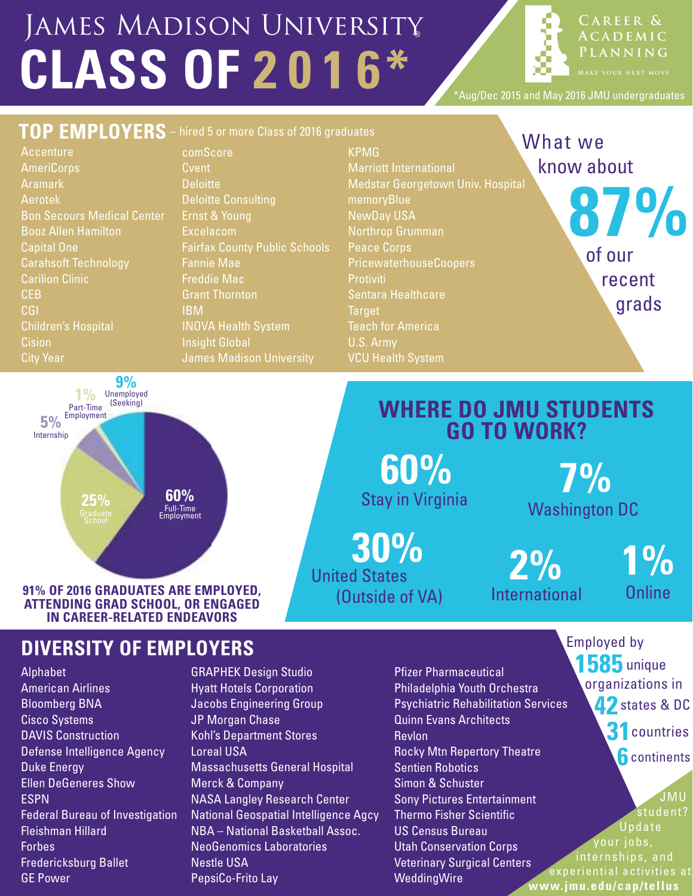# **CLASS OF 2 0 1 6\*** James Madison University

**C a r eer & A c a d e m i c P l a n n i n g**

\*Aug/Dec 2015 and May 2016 JMU undergraduates



Stay in Virginia

**30%**

(Outside of VA)

United States

**91% OF 2016 GRADUATES ARE EMPLOYED, ATTENDING GRAD SCHOOL, OR ENGAGED IN CAREER-RELATED ENDEAVORS**

Full-Time Employment **60%**

## **DIVERSITY OF EMPLOYERS**

Alphabet American Airlines Bloomberg BNA Cisco Systems DAVIS Construction Defense Intelligence Agency Duke Energy Ellen DeGeneres Show ESPN Federal Bureau of Investigation Fleishman Hillard Forbes Fredericksburg Ballet GE Power

**25%**

- GRAPHEK Design Studio Hyatt Hotels Corporation Jacobs Engineering Group JP Morgan Chase Kohl's Department Stores Loreal USA Massachusetts General Hospital Merck & Company NASA Langley Research Center National Geospatial Intelligence Agcy NBA – National Basketball Assoc. NeoGenomics Laboratories Nestle USA PepsiCo-Frito Lay
- Pfizer Pharmaceutical Philadelphia Youth Orchestra Psychiatric Rehabilitation Services Quinn Evans Architects Revlon Rocky Mtn Repertory Theatre Sentien Robotics Simon & Schuster Sony Pictures Entertainment Thermo Fisher Scientific US Census Bureau Utah Conservation Corps Veterinary Surgical Centers WeddingWire **www.jmu.edu/cap/tellus**

Employed by **1585** unique organizations in **42**states & DC **31**countries

**1%**

**Online** 

Washington DC

**2%**

International

**6** continents

 JMU student? Update your jobs, internships, and experiential activities at